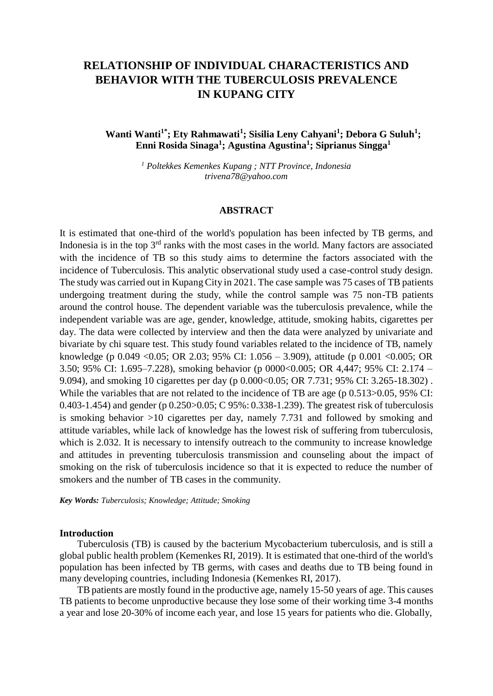# **RELATIONSHIP OF INDIVIDUAL CHARACTERISTICS AND BEHAVIOR WITH THE TUBERCULOSIS PREVALENCE IN KUPANG CITY**

## **Wanti Wanti1\*; Ety Rahmawati<sup>1</sup> ; Sisilia Leny Cahyani<sup>1</sup> ; Debora G Suluh<sup>1</sup> ; Enni Rosida Sinaga<sup>1</sup> ; Agustina Agustina<sup>1</sup> ; Siprianus Singga<sup>1</sup>**

*<sup>1</sup> Poltekkes Kemenkes Kupang ; NTT Province, Indonesia [trivena78@yahoo.com](mailto:trivena78@yahoo.com)*

#### **ABSTRACT**

It is estimated that one-third of the world's population has been infected by TB germs, and Indonesia is in the top  $3<sup>rd</sup>$  ranks with the most cases in the world. Many factors are associated with the incidence of TB so this study aims to determine the factors associated with the incidence of Tuberculosis. This analytic observational study used a case-control study design. The study was carried out in Kupang City in 2021. The case sample was 75 cases of TB patients undergoing treatment during the study, while the control sample was 75 non-TB patients around the control house. The dependent variable was the tuberculosis prevalence, while the independent variable was are age, gender, knowledge, attitude, smoking habits, cigarettes per day. The data were collected by interview and then the data were analyzed by univariate and bivariate by chi square test. This study found variables related to the incidence of TB, namely knowledge (p 0.049 <0.05; OR 2.03; 95% CI: 1.056 – 3.909), attitude (p 0.001 <0.005; OR 3.50; 95% CI: 1.695–7.228), smoking behavior (p 0000<0.005; OR 4,447; 95% CI: 2.174 – 9.094), and smoking 10 cigarettes per day (p 0.000<0.05; OR 7.731; 95% CI: 3.265-18.302). While the variables that are not related to the incidence of TB are age (p  $0.513 > 0.05$ , 95% CI: 0.403-1.454) and gender (p 0.250>0.05; C 95%: 0.338-1.239). The greatest risk of tuberculosis is smoking behavior >10 cigarettes per day, namely 7.731 and followed by smoking and attitude variables, while lack of knowledge has the lowest risk of suffering from tuberculosis, which is 2.032. It is necessary to intensify outreach to the community to increase knowledge and attitudes in preventing tuberculosis transmission and counseling about the impact of smoking on the risk of tuberculosis incidence so that it is expected to reduce the number of smokers and the number of TB cases in the community.

*Key Words: Tuberculosis; Knowledge; Attitude; Smoking*

#### **Introduction**

Tuberculosis (TB) is caused by the bacterium Mycobacterium tuberculosis, and is still a global public health problem (Kemenkes RI, 2019). It is estimated that one-third of the world's population has been infected by TB germs, with cases and deaths due to TB being found in many developing countries, including Indonesia (Kemenkes RI, 2017).

TB patients are mostly found in the productive age, namely 15-50 years of age. This causes TB patients to become unproductive because they lose some of their working time 3-4 months a year and lose 20-30% of income each year, and lose 15 years for patients who die. Globally,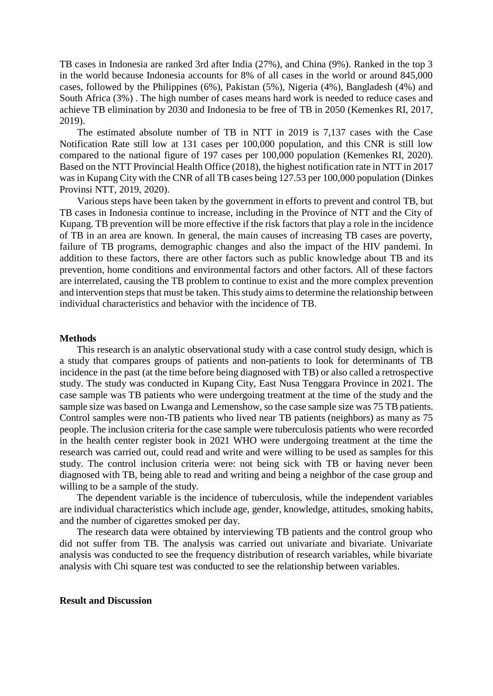TB cases in Indonesia are ranked 3rd after India (27%), and China (9%). Ranked in the top 3 in the world because Indonesia accounts for 8% of all cases in the world or around 845,000 cases, followed by the Philippines (6%), Pakistan (5%), Nigeria (4%), Bangladesh (4%) and South Africa (3%) . The high number of cases means hard work is needed to reduce cases and achieve TB elimination by 2030 and Indonesia to be free of TB in 2050 (Kemenkes RI, 2017, 2019).

The estimated absolute number of TB in NTT in 2019 is 7,137 cases with the Case Notification Rate still low at 131 cases per 100,000 population, and this CNR is still low compared to the national figure of 197 cases per 100,000 population (Kemenkes RI, 2020). Based on the NTT Provincial Health Office (2018), the highest notification rate in NTT in 2017 was in Kupang City with the CNR of all TB cases being 127.53 per 100,000 population (Dinkes Provinsi NTT, 2019, 2020).

Various steps have been taken by the government in efforts to prevent and control TB, but TB cases in Indonesia continue to increase, including in the Province of NTT and the City of Kupang. TB prevention will be more effective if the risk factors that play a role in the incidence of TB in an area are known. In general, the main causes of increasing TB cases are poverty, failure of TB programs, demographic changes and also the impact of the HIV pandemi. In addition to these factors, there are other factors such as public knowledge about TB and its prevention, home conditions and environmental factors and other factors. All of these factors are interrelated, causing the TB problem to continue to exist and the more complex prevention and intervention steps that must be taken. This study aims to determine the relationship between individual characteristics and behavior with the incidence of TB.

#### **Methods**

This research is an analytic observational study with a case control study design, which is a study that compares groups of patients and non-patients to look for determinants of TB incidence in the past (at the time before being diagnosed with TB) or also called a retrospective study. The study was conducted in Kupang City, East Nusa Tenggara Province in 2021. The case sample was TB patients who were undergoing treatment at the time of the study and the sample size was based on Lwanga and Lemenshow, so the case sample size was 75 TB patients. Control samples were non-TB patients who lived near TB patients (neighbors) as many as 75 people. The inclusion criteria for the case sample were tuberculosis patients who were recorded in the health center register book in 2021 WHO were undergoing treatment at the time the research was carried out, could read and write and were willing to be used as samples for this study. The control inclusion criteria were: not being sick with TB or having never been diagnosed with TB, being able to read and writing and being a neighbor of the case group and willing to be a sample of the study.

The dependent variable is the incidence of tuberculosis, while the independent variables are individual characteristics which include age, gender, knowledge, attitudes, smoking habits, and the number of cigarettes smoked per day.

The research data were obtained by interviewing TB patients and the control group who did not suffer from TB. The analysis was carried out univariate and bivariate. Univariate analysis was conducted to see the frequency distribution of research variables, while bivariate analysis with Chi square test was conducted to see the relationship between variables.

#### **Result and Discussion**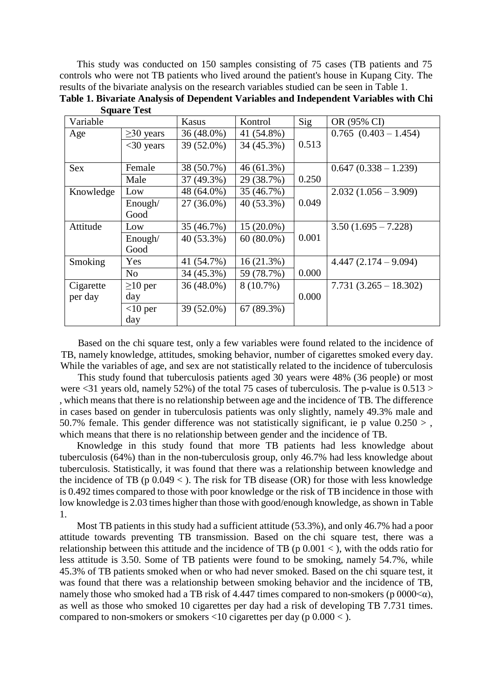This study was conducted on 150 samples consisting of 75 cases (TB patients and 75 controls who were not TB patients who lived around the patient's house in Kupang City. The results of the bivariate analysis on the research variables studied can be seen in Table 1.

| Variable   |                 | Kasus        | Kontrol      | Sig   | OR (95% CI)               |
|------------|-----------------|--------------|--------------|-------|---------------------------|
| Age        | $\geq$ 30 years | 36 (48.0%)   | 41 (54.8%)   |       | $0.765$ $(0.403 - 1.454)$ |
|            | $<$ 30 years    | 39 (52.0%)   | 34 (45.3%)   | 0.513 |                           |
|            |                 |              |              |       |                           |
| <b>Sex</b> | Female          | 38 (50.7%)   | 46(61.3%)    |       | $0.647(0.338 - 1.239)$    |
|            | Male            | $37(49.3\%)$ | 29 (38.7%)   | 0.250 |                           |
| Knowledge  | Low             | 48 (64.0%)   | 35 (46.7%)   |       | $2.032(1.056 - 3.909)$    |
|            | Enough/         | $27(36.0\%)$ | 40 (53.3%)   | 0.049 |                           |
|            | Good            |              |              |       |                           |
| Attitude   | Low             | 35 (46.7%)   | $15(20.0\%)$ |       | $3.50(1.695 - 7.228)$     |
|            | Enough/         | 40 (53.3%)   | $60(80.0\%)$ | 0.001 |                           |
|            | Good            |              |              |       |                           |
| Smoking    | Yes             | 41 (54.7%)   | 16(21.3%)    |       | $4.447(2.174 - 9.094)$    |
|            | No              | 34 (45.3%)   | 59 (78.7%)   | 0.000 |                           |
| Cigarette  | $\geq 10$ per   | $36(48.0\%)$ | 8 (10.7%)    |       | $7.731(3.265 - 18.302)$   |
| per day    | day             |              |              | 0.000 |                           |
|            | $<$ 10 per      | 39 (52.0%)   | 67 (89.3%)   |       |                           |
|            | day             |              |              |       |                           |

**Table 1. Bivariate Analysis of Dependent Variables and Independent Variables with Chi Square Test**

Based on the chi square test, only a few variables were found related to the incidence of TB, namely knowledge, attitudes, smoking behavior, number of cigarettes smoked every day. While the variables of age, and sex are not statistically related to the incidence of tuberculosis

This study found that tuberculosis patients aged 30 years were 48% (36 people) or most were  $\langle 31 \rangle$  years old, namely 52%) of the total 75 cases of tuberculosis. The p-value is 0.513  $>$ , which means that there is no relationship between age and the incidence of TB. The difference in cases based on gender in tuberculosis patients was only slightly, namely 49.3% male and 50.7% female. This gender difference was not statistically significant, ie p value  $0.250 >$ , which means that there is no relationship between gender and the incidence of TB.

Knowledge in this study found that more TB patients had less knowledge about tuberculosis (64%) than in the non-tuberculosis group, only 46.7% had less knowledge about tuberculosis. Statistically, it was found that there was a relationship between knowledge and the incidence of TB (p  $0.049 <$  ). The risk for TB disease (OR) for those with less knowledge is 0.492 times compared to those with poor knowledge or the risk of TB incidence in those with low knowledge is 2.03 times higher than those with good/enough knowledge, as shown in Table 1.

Most TB patients in this study had a sufficient attitude (53.3%), and only 46.7% had a poor attitude towards preventing TB transmission. Based on the chi square test, there was a relationship between this attitude and the incidence of TB (p  $0.001 <$ ), with the odds ratio for less attitude is 3.50. Some of TB patients were found to be smoking, namely 54.7%, while 45.3% of TB patients smoked when or who had never smoked. Based on the chi square test, it was found that there was a relationship between smoking behavior and the incidence of TB, namely those who smoked had a TB risk of 4.447 times compared to non-smokers (p  $0000<\alpha$ ), as well as those who smoked 10 cigarettes per day had a risk of developing TB 7.731 times. compared to non-smokers or smokers  $\langle 10 \text{ eigen} \rangle$  cigarettes per day (p  $0.000 \langle . \rangle$ ).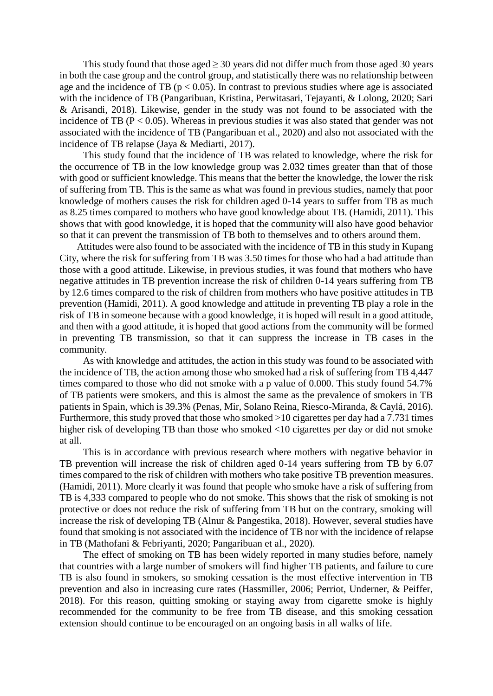This study found that those aged  $\geq$  30 years did not differ much from those aged 30 years in both the case group and the control group, and statistically there was no relationship between age and the incidence of TB ( $p < 0.05$ ). In contrast to previous studies where age is associated with the incidence of TB (Pangaribuan, Kristina, Perwitasari, Tejayanti, & Lolong, 2020; Sari & Arisandi, 2018). Likewise, gender in the study was not found to be associated with the incidence of TB ( $P < 0.05$ ). Whereas in previous studies it was also stated that gender was not associated with the incidence of TB (Pangaribuan et al., 2020) and also not associated with the incidence of TB relapse (Jaya & Mediarti, 2017).

This study found that the incidence of TB was related to knowledge, where the risk for the occurrence of TB in the low knowledge group was 2.032 times greater than that of those with good or sufficient knowledge. This means that the better the knowledge, the lower the risk of suffering from TB. This is the same as what was found in previous studies, namely that poor knowledge of mothers causes the risk for children aged 0-14 years to suffer from TB as much as 8.25 times compared to mothers who have good knowledge about TB. (Hamidi, 2011). This shows that with good knowledge, it is hoped that the community will also have good behavior so that it can prevent the transmission of TB both to themselves and to others around them.

Attitudes were also found to be associated with the incidence of TB in this study in Kupang City, where the risk for suffering from TB was 3.50 times for those who had a bad attitude than those with a good attitude. Likewise, in previous studies, it was found that mothers who have negative attitudes in TB prevention increase the risk of children 0-14 years suffering from TB by 12.6 times compared to the risk of children from mothers who have positive attitudes in TB prevention (Hamidi, 2011). A good knowledge and attitude in preventing TB play a role in the risk of TB in someone because with a good knowledge, it is hoped will result in a good attitude, and then with a good attitude, it is hoped that good actions from the community will be formed in preventing TB transmission, so that it can suppress the increase in TB cases in the community.

As with knowledge and attitudes, the action in this study was found to be associated with the incidence of TB, the action among those who smoked had a risk of suffering from TB 4,447 times compared to those who did not smoke with a p value of 0.000. This study found 54.7% of TB patients were smokers, and this is almost the same as the prevalence of smokers in TB patients in Spain, which is 39.3% (Penas, Mir, Solano Reina, Riesco-Miranda, & Caylá, 2016). Furthermore, this study proved that those who smoked >10 cigarettes per day had a 7.731 times higher risk of developing TB than those who smoked <10 cigarettes per day or did not smoke at all.

This is in accordance with previous research where mothers with negative behavior in TB prevention will increase the risk of children aged 0-14 years suffering from TB by 6.07 times compared to the risk of children with mothers who take positive TB prevention measures. (Hamidi, 2011). More clearly it was found that people who smoke have a risk of suffering from TB is 4,333 compared to people who do not smoke. This shows that the risk of smoking is not protective or does not reduce the risk of suffering from TB but on the contrary, smoking will increase the risk of developing TB (Alnur & Pangestika, 2018). However, several studies have found that smoking is not associated with the incidence of TB nor with the incidence of relapse in TB (Mathofani & Febriyanti, 2020; Pangaribuan et al., 2020).

The effect of smoking on TB has been widely reported in many studies before, namely that countries with a large number of smokers will find higher TB patients, and failure to cure TB is also found in smokers, so smoking cessation is the most effective intervention in TB prevention and also in increasing cure rates (Hassmiller, 2006; Perriot, Underner, & Peiffer, 2018). For this reason, quitting smoking or staying away from cigarette smoke is highly recommended for the community to be free from TB disease, and this smoking cessation extension should continue to be encouraged on an ongoing basis in all walks of life.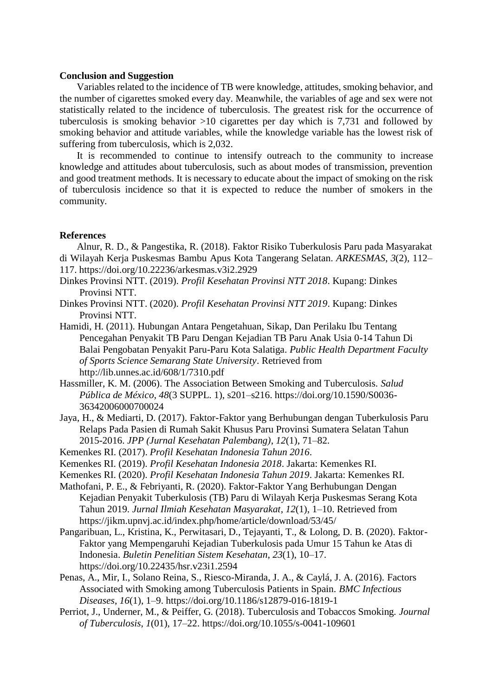### **Conclusion and Suggestion**

Variables related to the incidence of TB were knowledge, attitudes, smoking behavior, and the number of cigarettes smoked every day. Meanwhile, the variables of age and sex were not statistically related to the incidence of tuberculosis. The greatest risk for the occurrence of tuberculosis is smoking behavior >10 cigarettes per day which is 7,731 and followed by smoking behavior and attitude variables, while the knowledge variable has the lowest risk of suffering from tuberculosis, which is 2,032.

It is recommended to continue to intensify outreach to the community to increase knowledge and attitudes about tuberculosis, such as about modes of transmission, prevention and good treatment methods. It is necessary to educate about the impact of smoking on the risk of tuberculosis incidence so that it is expected to reduce the number of smokers in the community.

#### **References**

Alnur, R. D., & Pangestika, R. (2018). Faktor Risiko Tuberkulosis Paru pada Masyarakat di Wilayah Kerja Puskesmas Bambu Apus Kota Tangerang Selatan. *ARKESMAS*, *3*(2), 112– 117. https://doi.org/10.22236/arkesmas.v3i2.2929

- Dinkes Provinsi NTT. (2019). *Profil Kesehatan Provinsi NTT 2018*. Kupang: Dinkes Provinsi NTT.
- Dinkes Provinsi NTT. (2020). *Profil Kesehatan Provinsi NTT 2019*. Kupang: Dinkes Provinsi NTT.
- Hamidi, H. (2011). Hubungan Antara Pengetahuan, Sikap, Dan Perilaku Ibu Tentang Pencegahan Penyakit TB Paru Dengan Kejadian TB Paru Anak Usia 0-14 Tahun Di Balai Pengobatan Penyakit Paru-Paru Kota Salatiga. *Public Health Department Faculty of Sports Science Semarang State University*. Retrieved from <http://lib.unnes.ac.id/608/1/7310.pdf>
- Hassmiller, K. M. (2006). The Association Between Smoking and Tuberculosis. *Salud Pública de México*, *48*(3 SUPPL. 1), s201–s216. https://doi.org/10.1590/S0036- 36342006000700024
- Jaya, H., & Mediarti, D. (2017). Faktor-Faktor yang Berhubungan dengan Tuberkulosis Paru Relaps Pada Pasien di Rumah Sakit Khusus Paru Provinsi Sumatera Selatan Tahun 2015-2016. *JPP (Jurnal Kesehatan Palembang)*, *12*(1), 71–82.
- Kemenkes RI. (2017). *Profil Kesehatan Indonesia Tahun 2016*.
- Kemenkes RI. (2019). *Profil Kesehatan Indonesia 2018*. Jakarta: Kemenkes RI.
- Kemenkes RI. (2020). *Profil Kesehatan Indonesia Tahun 2019*. Jakarta: Kemenkes RI.
- Mathofani, P. E., & Febriyanti, R. (2020). Faktor-Faktor Yang Berhubungan Dengan Kejadian Penyakit Tuberkulosis (TB) Paru di Wilayah Kerja Puskesmas Serang Kota Tahun 2019. *Jurnal Ilmiah Kesehatan Masyarakat*, *12*(1), 1–10. Retrieved from https://jikm.upnvj.ac.id/index.php/home/article/download/53/45/
- Pangaribuan, L., Kristina, K., Perwitasari, D., Tejayanti, T., & Lolong, D. B. (2020). Faktor-Faktor yang Mempengaruhi Kejadian Tuberkulosis pada Umur 15 Tahun ke Atas di Indonesia. *Buletin Penelitian Sistem Kesehatan*, *23*(1), 10–17. https://doi.org/10.22435/hsr.v23i1.2594
- Penas, A., Mir, I., Solano Reina, S., Riesco-Miranda, J. A., & Caylá, J. A. (2016). Factors Associated with Smoking among Tuberculosis Patients in Spain. *BMC Infectious Diseases*, *16*(1), 1–9. https://doi.org/10.1186/s12879-016-1819-1
- Perriot, J., Underner, M., & Peiffer, G. (2018). Tuberculosis and Tobaccos Smoking. *Journal of Tuberculosis*, *1*(01), 17–22. https://doi.org/10.1055/s-0041-109601